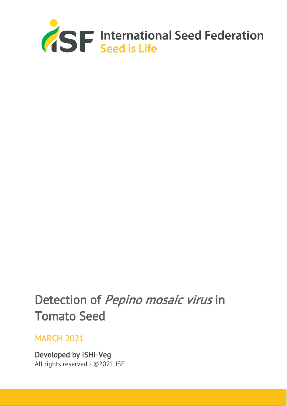

# Detection of Pepino mosaic virus in Tomato Seed

# MARCH 2021

Developed by ISHI-Veg All rights reserved - ©2021 ISF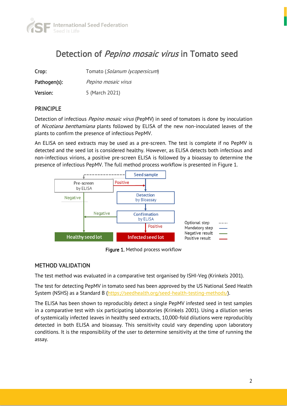

# Detection of *Pepino mosaic virus* in Tomato seed

| Crop:        | Tomato (Solanum lycopersicum) |
|--------------|-------------------------------|
| Pathogen(s): | Pepino mosaic virus           |
| Version:     | 5 (March 2021)                |

#### PRINCIPLE

Detection of infectious *Pepino mosaic virus* (PepMV) in seed of tomatoes is done by inoculation of Nicotiana benthamiana plants followed by ELISA of the new non-inoculated leaves of the plants to confirm the presence of infectious PepMV.

An ELISA on seed extracts may be used as a pre-screen. The test is complete if no PepMV is detected and the seed lot is considered healthy. However, as ELISA detects both infectious and non-infectious virions, a positive pre-screen ELISA is followed by a bioassay to determine the presence of infectious PepMV. The full method process workflow is presented in Figure 1.



Figure 1. Method process workflow

#### METHOD VALIDATION

The test method was evaluated in a comparative test organised by ISHI-Veg (Krinkels 2001).

The test for detecting PepMV in tomato seed has been approved by the US National Seed Health System (NSHS) as a Standard B [\(https://seedhealth.org/seed-health-testing-methods/\)](https://seedhealth.org/seed-health-testing-methods/).

The ELISA has been shown to reproducibly detect a single PepMV infested seed in test samples in a comparative test with six participating laboratories (Krinkels 2001). Using a dilution series of systemically infected leaves in healthy seed extracts, 10,000-fold dilutions were reproducibly detected in both ELISA and bioassay. This sensitivity could vary depending upon laboratory conditions. It is the responsibility of the user to determine sensitivity at the time of running the assay.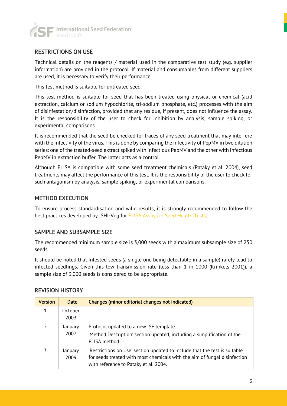

#### RESTRICTIONS ON USE

Technical details on the reagents / material used in the comparative test study (e.g. supplier information) are provided in the protocol. If material and consumables from different suppliers are used, it is necessary to verify their performance.

This test method is suitable for untreated seed.

This test method is suitable for seed that has been treated using physical or chemical (acid extraction, calcium or sodium hypochlorite, tri-sodium phosphate, etc.) processes with the aim of disinfestation/disinfection, provided that any residue, if present, does not influence the assay. It is the responsibility of the user to check for inhibition by analysis, sample spiking, or experimental comparisons.

It is recommended that the seed be checked for traces of any seed treatment that may interfere with the infectivity of the virus. This is done by comparing the infectivity of PepMV in two dilution series: one of the treated-seed extract spiked with infectious PepMV and the other with infectious PepMV in extraction buffer. The latter acts as a control.

Although ELISA is compatible with some seed treatment chemicals (Pataky et al. 2004), seed treatments may affect the performance of this test. It is the responsibility of the user to check for such antagonism by analysis, sample spiking, or experimental comparisons.

#### METHOD EXECUTION

To ensure process standardisation and valid results, it is strongly recommended to follow the best practices developed by ISHI-Veg for **ELISA Assays in Seed Health Tests**.

#### SAMPLE AND SUBSAMPLE SIZE

The recommended minimum sample size is 3,000 seeds with a maximum subsample size of 250 seeds.

It should be noted that infested seeds (a single one being detectable in a sample) rarely lead to infected seedlings. Given this low transmission rate (less than 1 in 1000 (Krinkels 2001)), a sample size of 3,000 seeds is considered to be appropriate.

| <b>Version</b> | <b>Date</b>     | Changes (minor editorial changes not indicated)                                                                                                                                                  |
|----------------|-----------------|--------------------------------------------------------------------------------------------------------------------------------------------------------------------------------------------------|
| 1              | October<br>2003 |                                                                                                                                                                                                  |
|                | January<br>2007 | Protocol updated to a new ISF template.<br>'Method Description' section updated, including a simplification of the<br>ELISA method.                                                              |
| 3              | January<br>2009 | 'Restrictions on Use' section updated to include that the test is suitable<br>for seeds treated with most chemicals with the aim of fungal disinfection<br>with reference to Pataky et al. 2004. |

#### REVISION HISTORY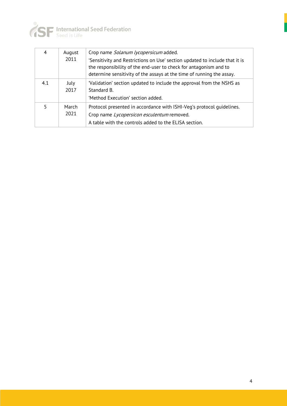

| 4   | August<br>2011 | Crop name Solanum lycopersicum added.<br>'Sensitivity and Restrictions on Use' section updated to include that it is<br>the responsibility of the end-user to check for antagonism and to<br>determine sensitivity of the assays at the time of running the assay. |
|-----|----------------|--------------------------------------------------------------------------------------------------------------------------------------------------------------------------------------------------------------------------------------------------------------------|
| 4.1 | July<br>2017   | 'Validation' section updated to include the approval from the NSHS as<br>Standard B.<br>'Method Execution' section added.                                                                                                                                          |
| 5   | March<br>2021  | Protocol presented in accordance with ISHI-Veg's protocol quidelines.<br>Crop name Lycopersicon esculentum removed.<br>A table with the controls added to the ELISA section.                                                                                       |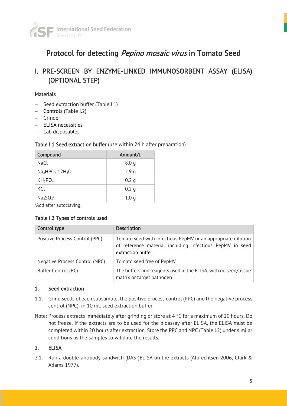

## Protocol for detecting Pepino mosaic virus in Tomato Seed

### I. PRE-SCREEN BY ENZYME-LINKED IMMUNOSORBENT ASSAY (ELISA) (OPTIONAL STEP)

#### **Materials**

- − Seed extraction buffer (Table I.1)
- − Controls (Table I.2)
- − Grinder
- − ELISA necessities
- − Lab disposables

#### Table I.1 Seed extraction buffer (use within 24 h after preparation)

| Compound                      | Amount/L         |
|-------------------------------|------------------|
| NaCl                          | 8.0q             |
| $Na2HPO4$ .12H <sub>2</sub> O | 2.9q             |
| $KH_2PO_4$                    | 0.2 g            |
| KCL                           | 0.2 <sub>q</sub> |
| $Na2SO3a$                     | 1.0 <sub>q</sub> |

<sup>a</sup>Add after autoclaving.

#### Table I.2 Types of controls used

| Control type                   | <b>Description</b>                                                                                                                             |
|--------------------------------|------------------------------------------------------------------------------------------------------------------------------------------------|
| Positive Process Control (PPC) | Tomato seed with infectious PepMV or an appropriate dilution<br>of reference material including infectious PepMV in seed<br>extraction buffer. |
| Negative Process Control (NPC) | Tomato seed free of PepMV                                                                                                                      |
| Buffer Control (BC)            | The buffers and reagents used in the ELISA, with no seed/tissue<br>matrix or target pathogen                                                   |

#### 1. Seed extraction

- 1.1. Grind seeds of each subsample, the positive process control (PPC) and the negative process control (NPC), in 10 mL seed extraction buffer.
- Note: Process extracts immediately after grinding or store at 4 °C for a maximum of 20 hours. Do not freeze. If the extracts are to be used for the bioassay after ELISA, the ELISA must be completed within 20 hours after extraction. Store the PPC and NPC (Table I.2) under similar conditions as the samples to validate the results.

#### 2. ELISA

2.1. Run a double-antibody-sandwich (DAS-)ELISA on the extracts (Albrechtsen 2006, Clark & Adams 1977).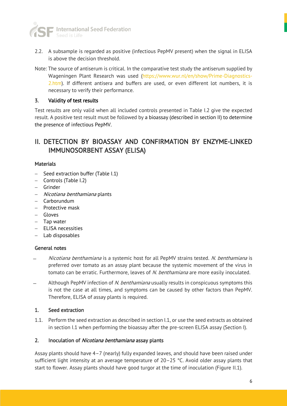

- 2.2. A subsample is regarded as positive (infectious PepMV present) when the signal in ELISA is above the decision threshold.
- Note: The source of antiserum is critical. In the comparative test study the antiserum supplied by Wageningen Plant Research was used [\(https://www.wur.nl/en/show/Prime-Diagnostics-](https://www.wur.nl/en/show/Prime-Diagnostics-2.htm)[2.htm\)](https://www.wur.nl/en/show/Prime-Diagnostics-2.htm). If different antisera and buffers are used, or even different lot numbers, it is necessary to verify their performance.

#### 3. Validity of test results

Test results are only valid when all included controls presented in Table I.2 give the expected result. A positive test result must be followed by a bioassay (described in section II) to determine the presence of infectious PepMV.

### II. DETECTION BY BIOASSAY AND CONFIRMATION BY ENZYME-LINKED IMMUNOSORBENT ASSAY (ELISA)

#### **Materials**

- − Seed extraction buffer (Table I.1)
- − Controls (Table I.2)
- − Grinder
- − Nicotiana benthamiana plants
- − Carborundum
- − Protective mask
- − Gloves
- − Tap water
- − ELISA necessities
- − Lab disposables

#### General notes

- *̶* Nicotiana benthamiana is a systemic host for all PepMV strains tested. N. benthamiana is preferred over tomato as an assay plant because the systemic movement of the virus in tomato can be erratic. Furthermore, leaves of N. benthamiana are more easily inoculated.
- Although PepMV infection of N. benthamiana usually results in conspicuous symptoms this is not the case at all times, and symptoms can be caused by other factors than PepMV. Therefore, ELISA of assay plants is required.

#### 1. Seed extraction

1.1. Perform the seed extraction as described in section I.1, or use the seed extracts as obtained in section I.1 when performing the bioassay after the pre-screen ELISA assay (Section I).

#### 2. Inoculation of Nicotiana benthamiana assay plants

Assay plants should have 4–7 (nearly) fully expanded leaves, and should have been raised under sufficient light intensity at an average temperature of 20–25 °C. Avoid older assay plants that start to flower. Assay plants should have good turgor at the time of inoculation (Figure II.1).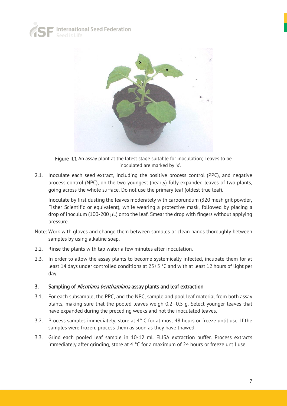



Figure II.1 An assay plant at the latest stage suitable for inoculation; Leaves to be inoculated are marked by 'x'.

2.1. Inoculate each seed extract, including the positive process control (PPC), and negative process control (NPC), on the two youngest (nearly) fully expanded leaves of two plants, going across the whole surface. Do not use the primary leaf (oldest true leaf).

Inoculate by first dusting the leaves moderately with carborundum (320 mesh grit powder, Fisher Scientific or equivalent), while wearing a protective mask, followed by placing a drop of inoculum (100-200  $\mu$ L) onto the leaf. Smear the drop with fingers without applying pressure.

- Note: Work with gloves and change them between samples or clean hands thoroughly between samples by using alkaline soap.
- 2.2. Rinse the plants with tap water a few minutes after inoculation.
- 2.3. In order to allow the assay plants to become systemically infected, incubate them for at least 14 days under controlled conditions at  $25\pm5$  °C and with at least 12 hours of light per day.

#### 3. Sampling of *Nicotiana benthamiana* assay plants and leaf extraction

- 3.1. For each subsample, the PPC, and the NPC, sample and pool leaf material from both assay plants, making sure that the pooled leaves weigh 0.2–0.5 g. Select younger leaves that have expanded during the preceding weeks and not the inoculated leaves.
- 3.2. Process samples immediately, store at 4° C for at most 48 hours or freeze until use. If the samples were frozen, process them as soon as they have thawed.
- 3.3. Grind each pooled leaf sample in 10-12 mL ELISA extraction buffer. Process extracts immediately after grinding, store at 4  $^{\circ}$ C for a maximum of 24 hours or freeze until use.